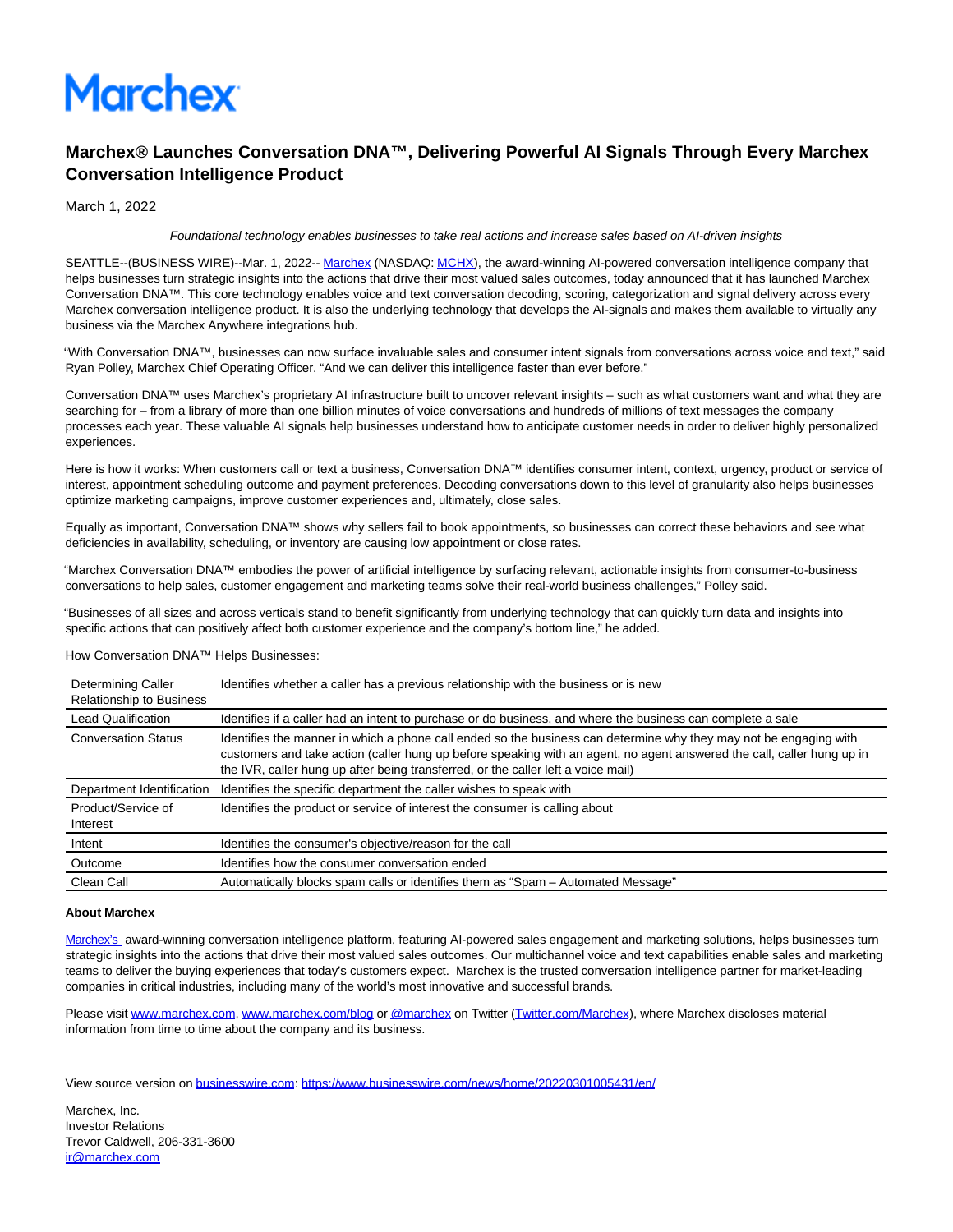

## **Marchex® Launches Conversation DNA™, Delivering Powerful AI Signals Through Every Marchex Conversation Intelligence Product**

March 1, 2022

## Foundational technology enables businesses to take real actions and increase sales based on AI-driven insights

SEATTLE--(BUSINESS WIRE)--Mar. 1, 2022-- [Marchex \(](https://cts.businesswire.com/ct/CT?id=smartlink&url=http%3A%2F%2Fwww.marchex.com&esheet=52587105&newsitemid=20220301005431&lan=en-US&anchor=Marchex&index=1&md5=1ffb539fd7997d78143eef59fc8d074f)NASDAQ[: MCHX\),](https://cts.businesswire.com/ct/CT?id=smartlink&url=https%3A%2F%2Fwww.marchex.com%2F&esheet=52587105&newsitemid=20220301005431&lan=en-US&anchor=MCHX&index=2&md5=55dc4841ec88d3179f918bad065aaff1) the award-winning AI-powered conversation intelligence company that helps businesses turn strategic insights into the actions that drive their most valued sales outcomes, today announced that it has launched Marchex Conversation DNA™. This core technology enables voice and text conversation decoding, scoring, categorization and signal delivery across every Marchex conversation intelligence product. It is also the underlying technology that develops the AI-signals and makes them available to virtually any business via the Marchex Anywhere integrations hub.

"With Conversation DNA™, businesses can now surface invaluable sales and consumer intent signals from conversations across voice and text," said Ryan Polley, Marchex Chief Operating Officer. "And we can deliver this intelligence faster than ever before."

Conversation DNA™ uses Marchex's proprietary AI infrastructure built to uncover relevant insights – such as what customers want and what they are searching for – from a library of more than one billion minutes of voice conversations and hundreds of millions of text messages the company processes each year. These valuable AI signals help businesses understand how to anticipate customer needs in order to deliver highly personalized experiences.

Here is how it works: When customers call or text a business, Conversation DNA™ identifies consumer intent, context, urgency, product or service of interest, appointment scheduling outcome and payment preferences. Decoding conversations down to this level of granularity also helps businesses optimize marketing campaigns, improve customer experiences and, ultimately, close sales.

Equally as important, Conversation DNA™ shows why sellers fail to book appointments, so businesses can correct these behaviors and see what deficiencies in availability, scheduling, or inventory are causing low appointment or close rates.

"Marchex Conversation DNA™ embodies the power of artificial intelligence by surfacing relevant, actionable insights from consumer-to-business conversations to help sales, customer engagement and marketing teams solve their real-world business challenges," Polley said.

"Businesses of all sizes and across verticals stand to benefit significantly from underlying technology that can quickly turn data and insights into specific actions that can positively affect both customer experience and the company's bottom line," he added.

How Conversation DNA™ Helps Businesses:

| Determining Caller<br><b>Relationship to Business</b> | Identifies whether a caller has a previous relationship with the business or is new                                                                                                                                                                                                                                              |
|-------------------------------------------------------|----------------------------------------------------------------------------------------------------------------------------------------------------------------------------------------------------------------------------------------------------------------------------------------------------------------------------------|
| <b>Lead Qualification</b>                             | Identifies if a caller had an intent to purchase or do business, and where the business can complete a sale                                                                                                                                                                                                                      |
| <b>Conversation Status</b>                            | Identifies the manner in which a phone call ended so the business can determine why they may not be engaging with<br>customers and take action (caller hung up before speaking with an agent, no agent answered the call, caller hung up in<br>the IVR, caller hung up after being transferred, or the caller left a voice mail) |
| Department Identification                             | Identifies the specific department the caller wishes to speak with                                                                                                                                                                                                                                                               |
| Product/Service of<br>Interest                        | Identifies the product or service of interest the consumer is calling about                                                                                                                                                                                                                                                      |
| Intent                                                | Identifies the consumer's objective/reason for the call                                                                                                                                                                                                                                                                          |
| Outcome                                               | Identifies how the consumer conversation ended                                                                                                                                                                                                                                                                                   |
| Clean Call                                            | Automatically blocks spam calls or identifies them as "Spam - Automated Message"                                                                                                                                                                                                                                                 |

## **About Marchex**

[Marchex's a](https://cts.businesswire.com/ct/CT?id=smartlink&url=https%3A%2F%2Fwww.marchex.com%2F&esheet=52587105&newsitemid=20220301005431&lan=en-US&anchor=Marchex%26%238217%3Bs&index=3&md5=3286be952b0a3de5db30636ee59e5562)ward-winning conversation intelligence platform, featuring AI-powered sales engagement and marketing solutions, helps businesses turn strategic insights into the actions that drive their most valued sales outcomes. Our multichannel voice and text capabilities enable sales and marketing teams to deliver the buying experiences that today's customers expect. Marchex is the trusted conversation intelligence partner for market-leading companies in critical industries, including many of the world's most innovative and successful brands.

Please visi[t www.marchex.com,](https://cts.businesswire.com/ct/CT?id=smartlink&url=https%3A%2F%2Fwww.marchex.com%2F&esheet=52587105&newsitemid=20220301005431&lan=en-US&anchor=www.marchex.com&index=4&md5=ccca85cb71e686c19a380b31b5ea97d2) [www.marchex.com/blog o](https://cts.businesswire.com/ct/CT?id=smartlink&url=https%3A%2F%2Fwww.marchex.com%2Fblog%2F&esheet=52587105&newsitemid=20220301005431&lan=en-US&anchor=www.marchex.com%2Fblog&index=5&md5=cf40a89966f5bb4bf0beeea84a9d5435)[r @marchex o](https://cts.businesswire.com/ct/CT?id=smartlink&url=https%3A%2F%2Ftwitter.com%2Fmarchex&esheet=52587105&newsitemid=20220301005431&lan=en-US&anchor=%40marchex&index=6&md5=ddf76ca5ff7ed20235390212055d0247)n Twitter [\(Twitter.com/Marchex\)](https://cts.businesswire.com/ct/CT?id=smartlink&url=https%3A%2F%2Ftwitter.com%2Fmarchex&esheet=52587105&newsitemid=20220301005431&lan=en-US&anchor=Twitter.com%2FMarchex&index=7&md5=f0c088a929aba8e01304b80cda8331d3), where Marchex discloses material information from time to time about the company and its business.

View source version on [businesswire.com:](http://businesswire.com/)<https://www.businesswire.com/news/home/20220301005431/en/>

Marchex, Inc. Investor Relations Trevor Caldwell, 206-331-3600 [ir@marchex.com](mailto:ir@marchex.com)